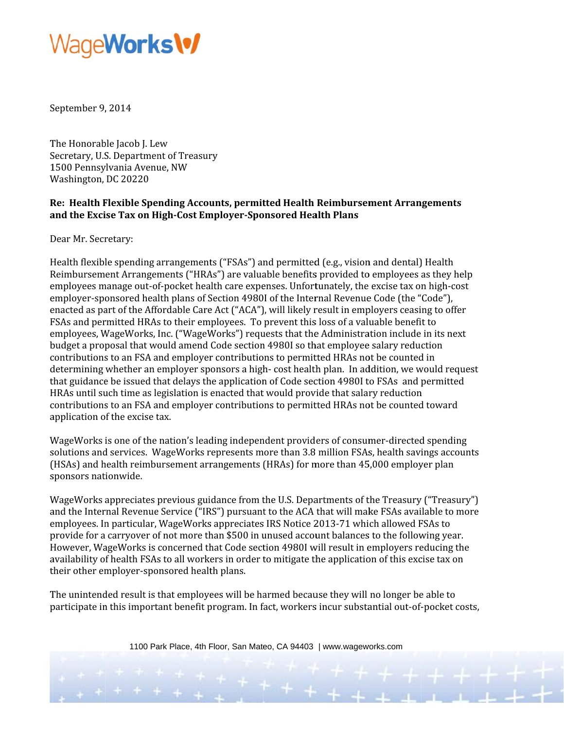### Wage**Works\%**

September 9, 2014

The Honorable Jacob J. Lew Secretary, U.S. Department of Treasury 1500 Pennsylvania Avenue, NW Washington, DC 20220

#### Re: Health Flexible Spending Accounts, permitted Health Reimbursement Arrangements and the Excise Tax on High-Cost Employer-Sponsored Health Plans

Dear Mr. Secretary:

Health flexible spending arrangements ("FSAs") and permitted (e.g., vision and dental) Health Reimbursement Arrangements ("HRAs") are valuable benefits provided to employees as they help employees manage out-of-pocket health care expenses. Unfortunately, the excise tax on high-cost employer-sponsored health plans of Section 49801 of the Internal Revenue Code (the "Code"), enacted as part of the Affordable Care Act ("ACA"), will likely result in employers ceasing to offer FSAs and permitted HRAs to their employees. To prevent this loss of a valuable benefit to employees, WageWorks, Inc. ("WageWorks") requests that the Administration include in its next budget a proposal that would amend Code section 4980I so that employee salary reduction contributions to an FSA and employer contributions to permitted HRAs not be counted in determining whether an employer sponsors a high-cost health plan. In addition, we would request that guidance be issued that delays the application of Code section 4980I to FSAs and permitted HRAs until such time as legislation is enacted that would provide that salary reduction contributions to an FSA and employer contributions to permitted HRAs not be counted toward application of the excise tax.

WageWorks is one of the nation's leading independent providers of consumer-directed spending solutions and services. WageWorks represents more than 3.8 million FSAs, health savings accounts (HSAs) and health reimbursement arrangements (HRAs) for more than 45,000 employer plan sponsors nationwide.

WageWorks appreciates previous guidance from the U.S. Departments of the Treasury ("Treasury") and the Internal Revenue Service ("IRS") pursuant to the ACA that will make FSAs available to more employees. In particular, WageWorks appreciates IRS Notice 2013-71 which allowed FSAs to provide for a carryover of not more than \$500 in unused account balances to the following year. However, WageWorks is concerned that Code section 4980I will result in employers reducing the availability of health FSAs to all workers in order to mitigate the application of this excise tax on their other employer-sponsored health plans.

The unintended result is that employees will be harmed because they will no longer be able to participate in this important benefit program. In fact, workers incur substantial out-of-pocket costs,

1100 Park Place, 4th Floor, San Mateo, CA 94403 | www.wageworks.com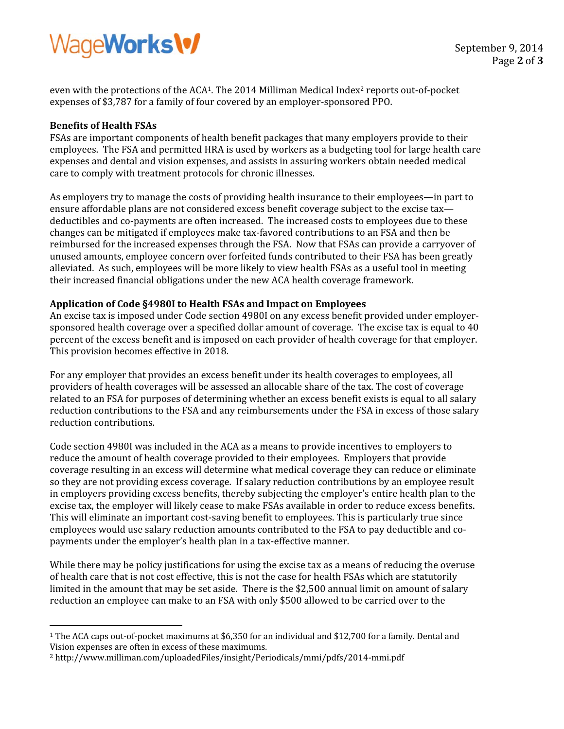# WageWorks\%

even with the protections of the ACA<sup>1</sup>. The 2014 Milliman Medical Index<sup>2</sup> reports out-of-pocket expenses of \$3,787 for a family of four covered by an employer-sponsored PPO.

#### **B Benefits of H Health FSAs**

 $\overline{a}$ 

 $\frac{1}{\sqrt{1-\frac{1}{2}}}\left( \frac{1}{\sqrt{1-\frac{1}{2}}}\right) ^{2}$ 

FSAs are important components of health benefit packages that many employers provide to their employees. The FSA and permitted HRA is used by workers as a budgeting tool for large health care expenses and dental and vision expenses, and assists in assuring workers obtain needed medical care to comply with treatment protocols for chronic illnesses.

As employers try to manage the costs of providing health insurance to their employees—in part to ensure affordable plans are not considered excess benefit coverage subject to the excise taxdeductibles and co-payments are often increased. The increased costs to employees due to these changes can be mitigated if employees make tax-favored contributions to an FSA and then be reimbursed for the increased expenses through the FSA. Now that FSAs can provide a carryover of unused amounts, employee concern over forfeited funds contributed to their FSA has been greatly alleviated. As such, employees will be more likely to view health FSAs as a useful tool in meeting their increased financial obligations under the new ACA health coverage framework. f<br>「<br>r-

### **A Application of Code §49 980I to Healt th FSAs and d Impact on E Employees**

An excise tax is imposed under Code section 4980I on any excess benefit provided under employer sponsored health coverage over a specified dollar amount of coverage. The excise tax is equal to 40 sponsored health coverage over a specified dollar amount of coverage. The excise tax is equal to 40<br>percent of the excess benefit and is imposed on each provider of health coverage for that employer. This provision becomes effective in 2018.

For any employer that provides an excess benefit under its health coverages to employees, all providers of health coverages will be assessed an allocable share of the tax. The cost of coverage related to an FSA for purposes of determining whether an excess benefit exists is equal to all salary related to an FSA for purposes of determining whether an excess benefit exists is equal to all salary<br>reduction contributions to the FSA and any reimbursements under the FSA in excess of those salary reduction contributions.

Code section 4980I was included in the ACA as a means to provide incentives to employers to reduce the amount of health coverage provided to their employees. Employers that provide coverage resulting in an excess will determine what medical coverage they can reduce or eliminate so they are not providing excess coverage. If salary reduction contributions by an employee result in employers providing excess benefits, thereby subjecting the employer's entire health plan to the excise tax, the employer will likely cease to make FSAs available in order to reduce excess benefits. This will eliminate an important cost-saving benefit to employees. This is particularly true since employees would use salary reduction amounts contributed to the FSA to pay deductible and cop payments un der the emp loyer's healt h plan in a ta ax‐effective m manner. ete.<br>e.

While there may be policy justifications for using the excise tax as a means of reducing the overuse of health care that is not cost effective, this is not the case for health FSAs which are statutorily limited in the amount that may be set aside. There is the \$2,500 annual limit on amount of salary reduction an employee can make to an FSA with only \$500 allowed to be carried over to the

<sup>&</sup>lt;sup>1</sup> The ACA caps out-of-pocket maximums at \$6,350 for an individual and \$12,700 for a family. Dental and Vision expenses are often in excess of these maximums.

Vision expenses are often in excess of these maximums.<br><sup>2</sup> http://www.milliman.com/uploadedFiles/insight/Periodicals/mmi/pdfs/2014-mmi.pdf